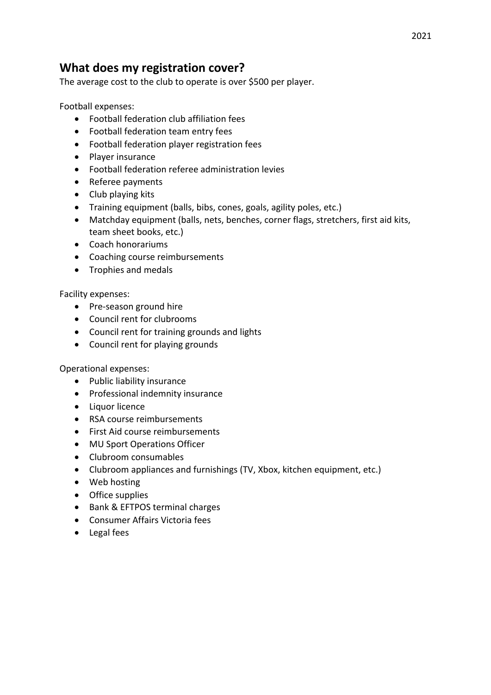## **What does my registration cover?**

The average cost to the club to operate is over \$500 per player.

Football expenses:

- Football federation club affiliation fees
- Football federation team entry fees
- Football federation player registration fees
- Player insurance
- Football federation referee administration levies
- Referee payments
- Club playing kits
- Training equipment (balls, bibs, cones, goals, agility poles, etc.)
- Matchday equipment (balls, nets, benches, corner flags, stretchers, first aid kits, team sheet books, etc.)
- Coach honorariums
- Coaching course reimbursements
- Trophies and medals

Facility expenses:

- Pre-season ground hire
- Council rent for clubrooms
- Council rent for training grounds and lights
- Council rent for playing grounds

Operational expenses:

- Public liability insurance
- Professional indemnity insurance
- Liquor licence
- RSA course reimbursements
- First Aid course reimbursements
- MU Sport Operations Officer
- Clubroom consumables
- Clubroom appliances and furnishings (TV, Xbox, kitchen equipment, etc.)
- Web hosting
- Office supplies
- Bank & EFTPOS terminal charges
- Consumer Affairs Victoria fees
- Legal fees